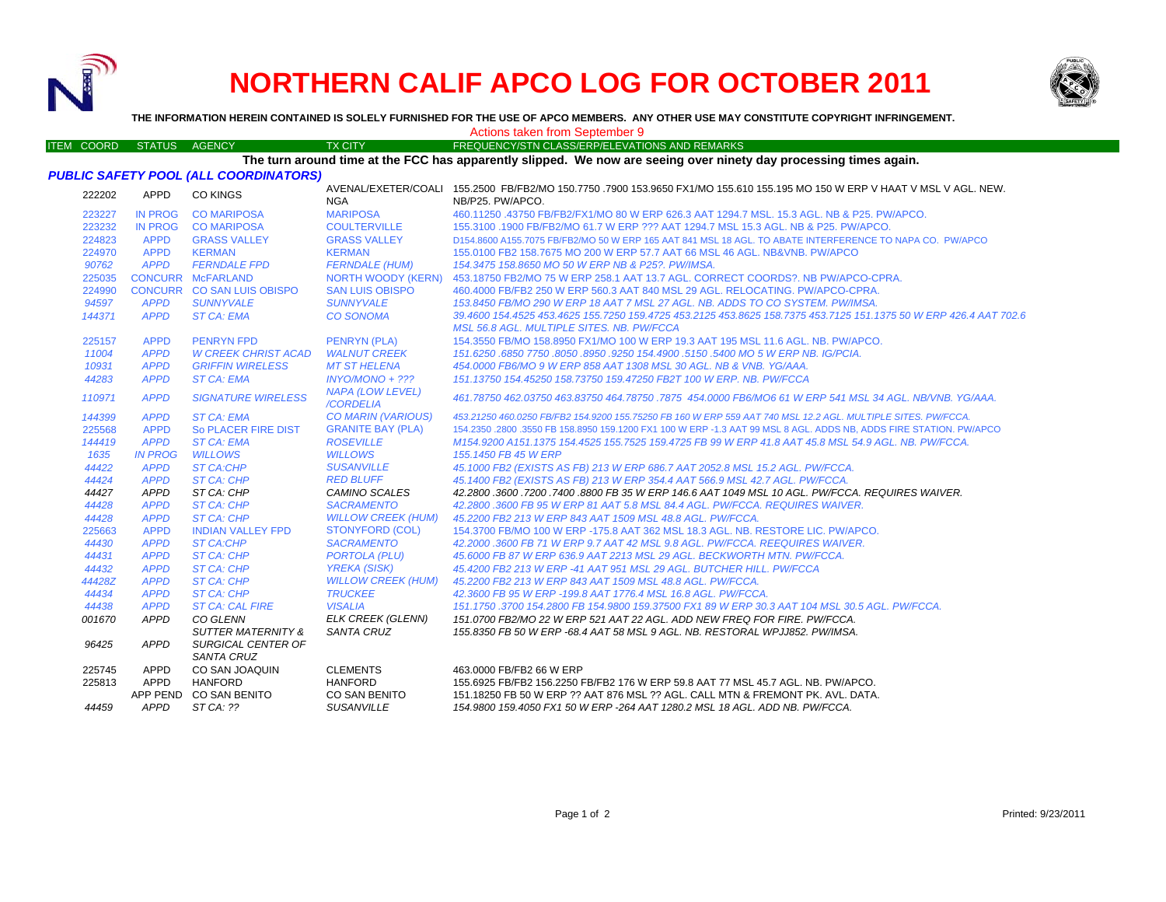

## **NORTHERN CALIF APCO LOG FOR OCTOBER 2011**



**THE INFORMATION HEREIN CONTAINED IS SOLELY FURNISHED FOR THE USE OF APCO MEMBERS. ANY OTHER USE MAY CONSTITUTE COPYRIGHT INFRINGEMENT.**

ITEM COORD STATUS AGENCY TX CITY FREQUENCY/STN CLASS/ERP/ELEVATIONS AND REMARKS

Actions taken from September 9

## **The turn around time at the FCC has apparently slipped. We now are seeing over ninety day processing times again.**

| PUBLIC SAFETY POOL (ALL COORDINATORS) |
|---------------------------------------|
|---------------------------------------|

| 222202 | APPD           | <b>CO KINGS</b>                  | <b>NGA</b>                    | AVENAL/EXETER/COALI 155.2500 FB/FB2/MO 150.7750 .7900 153.9650 FX1/MO 155.610 155.195 MO 150 W ERP V HAAT V MSL V AGL. NEW.<br>NB/P25, PW/APCO. |
|--------|----------------|----------------------------------|-------------------------------|-------------------------------------------------------------------------------------------------------------------------------------------------|
| 223227 | <b>IN PROG</b> | <b>CO MARIPOSA</b>               | <b>MARIPOSA</b>               | 460.11250 .43750 FB/FB2/FX1/MO 80 W ERP 626.3 AAT 1294.7 MSL, 15.3 AGL, NB & P25, PW/APCO,                                                      |
| 223232 | <b>IN PROG</b> | <b>CO MARIPOSA</b>               | <b>COULTERVILLE</b>           | 155.3100 .1900 FB/FB2/MO 61.7 W ERP ??? AAT 1294.7 MSL 15.3 AGL. NB & P25. PW/APCO.                                                             |
| 224823 | <b>APPD</b>    | <b>GRASS VALLEY</b>              | <b>GRASS VALLEY</b>           | D154,8600 A155,7075 FB/FB2/MO 50 W ERP 165 AAT 841 MSL 18 AGL. TO ABATE INTERFERENCE TO NAPA CO. PW/APCO                                        |
| 224970 | <b>APPD</b>    | <b>KERMAN</b>                    | <b>KERMAN</b>                 | 155,0100 FB2 158,7675 MO 200 W ERP 57.7 AAT 66 MSL 46 AGL, NB&VNB, PW/APCO                                                                      |
| 90762  | <b>APPD</b>    | <b>FERNDALE FPD</b>              | <b>FERNDALE (HUM)</b>         | 154.3475 158.8650 MO 50 W ERP NB & P25?. PW/IMSA.                                                                                               |
| 225035 |                | <b>CONCURR McFARLAND</b>         | NORTH WOODY (KERN)            | 453.18750 FB2/MO 75 W ERP 258.1 AAT 13.7 AGL, CORRECT COORDS?, NB PW/APCO-CPRA.                                                                 |
| 224990 |                | CONCURR CO SAN LUIS OBISPO       | <b>SAN LUIS OBISPO</b>        | 460.4000 FB/FB2 250 W ERP 560.3 AAT 840 MSL 29 AGL. RELOCATING, PW/APCO-CPRA.                                                                   |
| 94597  | <b>APPD</b>    | <b>SUNNYVALE</b>                 | <b>SUNNYVALE</b>              | 153.8450 FB/MO 290 W ERP 18 AAT 7 MSL 27 AGL. NB. ADDS TO CO SYSTEM. PW/IMSA.                                                                   |
| 144371 | <b>APPD</b>    | <b>ST CA: EMA</b>                | <b>CO SONOMA</b>              | 39.4600 154.4525 453.4625 155.7250 159.4725 453.2125 453.8625 158.7375 453.7125 151.1375 50 W ERP 426.4 AAT 702.6                               |
|        |                |                                  |                               | MSL 56.8 AGL. MULTIPLE SITES. NB. PW/FCCA                                                                                                       |
| 225157 | <b>APPD</b>    | <b>PENRYN FPD</b>                | <b>PENRYN (PLA)</b>           | 154,3550 FB/MO 158,8950 FX1/MO 100 W ERP 19.3 AAT 195 MSL 11.6 AGL, NB, PW/APCO,                                                                |
| 11004  | <b>APPD</b>    | <b>W CREEK CHRIST ACAD</b>       | <b>WALNUT CREEK</b>           | 151.6250 .6850 7750 .8050 .8950 .9250 154.4900 .5150 .5400 MO 5 W ERP NB. IG/PCIA.                                                              |
| 10931  | <b>APPD</b>    | <b>GRIFFIN WIRELESS</b>          | <b>MT ST HELENA</b>           | 454,0000 FB6/MO 9 W ERP 858 AAT 1308 MSL 30 AGL, NB & VNB, YG/AAA,                                                                              |
| 44283  | <b>APPD</b>    | <b>ST CA: EMA</b>                | $INYO/MONO + ???$             | 151.13750 154.45250 158.73750 159.47250 FB2T 100 W ERP. NB. PW/FCCA                                                                             |
| 110971 | <b>APPD</b>    | <b>SIGNATURE WIRELESS</b>        | NAPA (LOW LEVEL)<br>/CORDELIA | 461.78750 462.03750 463.83750 464.78750 .7875 454.0000 FB6/MO6 61 W ERP 541 MSL 34 AGL. NB/VNB. YG/AAA.                                         |
| 144399 | <b>APPD</b>    | <b>ST CA: EMA</b>                | CO MARIN (VARIOUS)            | 453,21250 460,0250 FB/FB2 154,9200 155,75250 FB 160 W ERP 559 AAT 740 MSL 12.2 AGL. MULTIPLE SITES, PW/FCCA.                                    |
| 225568 | <b>APPD</b>    | So PLACER FIRE DIST              | <b>GRANITE BAY (PLA)</b>      | 154.2350 .2800 .3550 FB 158.8950 159.1200 FX1 100 W ERP -1.3 AAT 99 MSL 8 AGL. ADDS NB, ADDS FIRE STATION. PW/APCO                              |
| 144419 | <b>APPD</b>    | <b>ST CA: EMA</b>                | <b>ROSEVILLE</b>              | M154.9200 A151.1375 154.4525 155.7525 159.4725 FB 99 W ERP 41.8 AAT 45.8 MSL 54.9 AGL, NB, PW/FCCA,                                             |
| 1635   | <b>IN PROG</b> | <b>WILLOWS</b>                   | <b>WILLOWS</b>                | 155, 1450 FB 45 W ERP                                                                                                                           |
| 44422  | <b>APPD</b>    | <b>ST CA:CHP</b>                 | <b>SUSANVILLE</b>             | 45.1000 FB2 (EXISTS AS FB) 213 W ERP 686.7 AAT 2052.8 MSL 15.2 AGL. PW/FCCA.                                                                    |
| 44424  | <b>APPD</b>    | ST CA: CHP                       | <b>RED BLUFF</b>              | 45.1400 FB2 (EXISTS AS FB) 213 W ERP 354.4 AAT 566.9 MSL 42.7 AGL. PW/FCCA.                                                                     |
| 44427  | APPD           | ST CA: CHP                       | <b>CAMINO SCALES</b>          | 42.2800 .3600 .7200 .7400 .8800 FB 35 W ERP 146.6 AAT 1049 MSL 10 AGL. PW/FCCA. REQUIRES WAIVER.                                                |
| 44428  | <b>APPD</b>    | ST CA: CHP                       | <b>SACRAMENTO</b>             | 42.2800 .3600 FB 95 W ERP 81 AAT 5.8 MSL 84.4 AGL. PW/FCCA. REQUIRES WAIVER.                                                                    |
| 44428  | <b>APPD</b>    | <b>ST CA: CHP</b>                | <b>WILLOW CREEK (HUM)</b>     | 45.2200 FB2 213 W ERP 843 AAT 1509 MSL 48.8 AGL. PW/FCCA.                                                                                       |
| 225663 | <b>APPD</b>    | <b>INDIAN VALLEY FPD</b>         | <b>STONYFORD (COL)</b>        | 154,3700 FB/MO 100 W ERP -175.8 AAT 362 MSL 18.3 AGL, NB, RESTORE LIC, PW/APCO,                                                                 |
| 44430  | <b>APPD</b>    | <b>ST CA:CHP</b>                 | <b>SACRAMENTO</b>             | 42.2000 .3600 FB 71 W ERP 9.7 AAT 42 MSL 9.8 AGL. PW/FCCA. REEQUIRES WAIVER.                                                                    |
| 44431  | <b>APPD</b>    | <b>ST CA: CHP</b>                | <b>PORTOLA (PLU)</b>          | 45.6000 FB 87 W ERP 636.9 AAT 2213 MSL 29 AGL. BECKWORTH MTN. PW/FCCA.                                                                          |
| 44432  | <b>APPD</b>    | ST CA: CHP                       | <b>YREKA (SISK)</b>           | 45.4200 FB2 213 W ERP -41 AAT 951 MSL 29 AGL, BUTCHER HILL, PW/FCCA                                                                             |
| 44428Z | <b>APPD</b>    | ST CA: CHP                       | <b>WILLOW CREEK (HUM)</b>     | 45.2200 FB2 213 W ERP 843 AAT 1509 MSL 48.8 AGL. PW/FCCA.                                                                                       |
| 44434  | <b>APPD</b>    | <b>ST CA: CHP</b>                | <b>TRUCKEE</b>                | 42.3600 FB 95 W ERP -199.8 AAT 1776.4 MSL 16.8 AGL. PW/FCCA.                                                                                    |
| 44438  | <b>APPD</b>    | <b>ST CA: CAL FIRE</b>           | <b>VISALIA</b>                | 151.1750.3700 154.2800 FB 154.9800 159.37500 FX1 89 W ERP 30.3 AAT 104 MSL 30.5 AGL, PW/FCCA,                                                   |
| 001670 | APPD           | <b>CO GLENN</b>                  | <b>ELK CREEK (GLENN)</b>      | 151.0700 FB2/MO 22 W ERP 521 AAT 22 AGL. ADD NEW FREQ FOR FIRE. PW/FCCA.                                                                        |
|        |                | <b>SUTTER MATERNITY &amp;</b>    | SANTA CRUZ                    | 155.8350 FB 50 W ERP -68.4 AAT 58 MSL 9 AGL. NB. RESTORAL WPJJ852. PW/IMSA.                                                                     |
| 96425  | <b>APPD</b>    | SURGICAL CENTER OF<br>SANTA CRUZ |                               |                                                                                                                                                 |
| 225745 | APPD           | CO SAN JOAQUIN                   | <b>CLEMENTS</b>               | 463,0000 FB/FB2 66 W ERP                                                                                                                        |
| 225813 | APPD           | <b>HANFORD</b>                   | <b>HANFORD</b>                | 155.6925 FB/FB2 156.2250 FB/FB2 176 W ERP 59.8 AAT 77 MSL 45.7 AGL. NB. PW/APCO.                                                                |
|        |                | APP PEND CO SAN BENITO           | <b>CO SAN BENITO</b>          | 151.18250 FB 50 W ERP ?? AAT 876 MSL ?? AGL. CALL MTN & FREMONT PK. AVL. DATA.                                                                  |

*44459 APPD ST CA: ?? SUSANVILLE 154.9800 159.4050 FX1 50 W ERP -264 AAT 1280.2 MSL 18 AGL. ADD NB. PW/FCCA.*